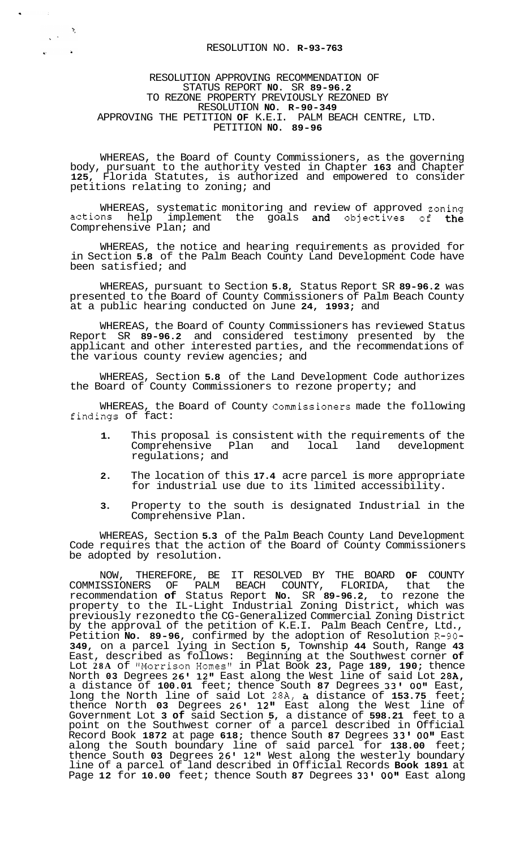## RESOLUTION NO. **R-93-763**

 $\mathcal{P}_\mathbf{x}$ 

 $\Delta$ 

 $\sqrt{2\pi}$ 

 $\mathbf{g}(\cdot)$ 

## RESOLUTION APPROVING RECOMMENDATION OF STATUS REPORT **NO.** SR **89-96.2**  TO REZONE PROPERTY PREVIOUSLY REZONED BY RESOLUTION **NO. R-90-349**  APPROVING THE PETITION **OF** K.E.I. PALM BEACH CENTRE, LTD. PETITION **NO. 89-96**

WHEREAS, the Board of County Commissioners, as the governing body, pursuant to the authority vested in Chapter **163** and Chapter **125,** Florida Statutes, is authorized and empowered to consider petitions relating to zoning; and

WHEREAS, systematic monitoring and review of approved zoning actions help implement the goals and objectives of the Comprehensive Plan; and

WHEREAS, the notice and hearing requirements as provided for in Section **5.8** of the Palm Beach County Land Development Code have been satisfied; and

WHEREAS, pursuant to Section **5.8,** Status Report SR **89-96.2** was presented to the Board of County Commissioners of Palm Beach County at a public hearing conducted on June **24, 1993;** and

WHEREAS, the Board of County Commissioners has reviewed Status Report SR **89-96.2** and considered testimony presented by the applicant and other interested parties, and the recommendations of the various county review agencies; and

WHEREAS, Section **5.8** of the Land Development Code authorizes the Board of County Commissioners to rezone property; and

WHEREAS, the Board of County Commissioners made the following findings of fact:

- **1.** This proposal is consistent with the requirements of the Comprehensive Plan and local land development regulations; and
- **2.** The location of this **17.4** acre parcel is more appropriate for industrial use due to its limited accessibility.
- **3.** Property to the south is designated Industrial in the Comprehensive Plan.

WHEREAS, Section **5.3** of the Palm Beach County Land Development Code requires that the action of the Board of County Commissioners be adopted by resolution.

NOW, THEREFORE, BE IT RESOLVED BY THE BOARD **OF** COUNTY COMMISSIONERS OF PALM BEACH COUNTY, FLORIDA, that the recommendation **of** Status Report **No.** SR **89-96.2,** to rezone the property to the IL-Light Industrial Zoning District, which was previously rezonedto the CG-Generalized Commercial Zoning District by the approval of the petition of K.E.I. Palm Beach Centre, Ltd., Petition **No. 89-96,** confirmed by the adoption of Resolution **R-90- 349,** on a parcel lying in Section **5,** Township **44** South, Range **43**  East, described as follows: Beginning at the Southwest corner **of**  Lot 28A of "Morrison Homes" in Plat Book 23, Page 189, 190; thence North **03** Degrees **26l 12"** East along the West line of said Lot **28A,**  a distance of **100.01** feet; thence South **87** Degrees **33' OOvN** East, long the North line of said Lot **28A,** & distance of **153.75** feet; thence North **03** Degrees **26' 12"** East along the West line of Government Lot **3 of** said Section **5,** a distance of **598.21** feet to a point on the Southwest corner of a parcel described in Official Record Book **1872** at page **618;** thence South **87** Degrees **33'** *00"* East along the South boundary line of said parcel for **138.00** feet; thence South **03** Degrees **26' 12"** West along the westerly boundary line of a parcel of land described in Official Records **Book 1891** at Page **12** for **10.00** feet; thence South **87** Degrees **33l 001'** East along